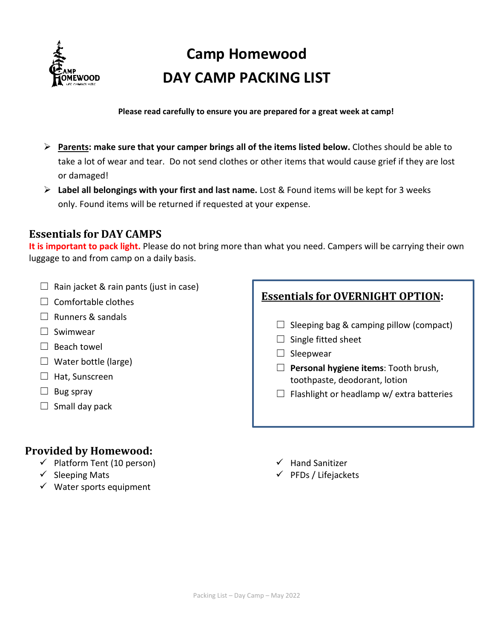

# **Camp Homewood DAY CAMP PACKING LIST**

#### **Please read carefully to ensure you are prepared for a great week at camp!**

- **Parents: make sure that your camper brings all of the items listed below.** Clothes should be able to take a lot of wear and tear. Do not send clothes or other items that would cause grief if they are lost or damaged!
- **Label all belongings with your first and last name.** Lost & Found items will be kept for 3 weeks only. Found items will be returned if requested at your expense.

### **Essentials for DAY CAMPS**

**It is important to pack light.** Please do not bring more than what you need. Campers will be carrying their own luggage to and from camp on a daily basis.

- $\Box$  Rain jacket & rain pants (just in case)
- $\Box$  Comfortable clothes
- ☐ Runners & sandals
- ☐ Swimwear
- □ Beach towel
- $\Box$  Water bottle (large)
- $\Box$  Hat, Sunscreen
- $\Box$  Bug spray
- $\Box$  Small day pack

## **Provided by Homewood:**

- $\checkmark$  Platform Tent (10 person)
- $\checkmark$  Sleeping Mats
- $\checkmark$  Water sports equipment

## **Essentials for OVERNIGHT OPTION:**

- $\Box$  Sleeping bag & camping pillow (compact)
- $\Box$  Single fitted sheet
- $\Box$  Sleepwear
- ☐ **Personal hygiene items**: Tooth brush, toothpaste, deodorant, lotion
- $\Box$  Flashlight or headlamp w/ extra batteries
- $\checkmark$  Hand Sanitizer
- $\checkmark$  PFDs / Lifejackets